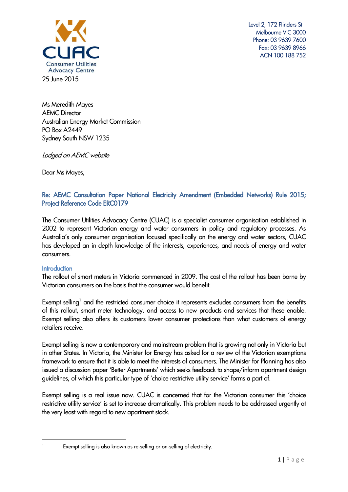

 Level 2, 172 Flinders St Melbourne VIC 3000 Phone: 03 9639 7600 Fax: 03 9639 8966 ACN 100 188 752

Ms Meredith Mayes **AEMC** Director Australian Energy Market Commission PO Box A2449 Sydney South NSW 1235

Lodged on AEMC website

Dear Ms Mayes,

# Re: AEMC Consultation Paper National Electricity Amendment (Embedded Networks) Rule 2015; Project Reference Code ERC0179

The Consumer Utilities Advocacy Centre (CUAC) is a specialist consumer organisation established in 2002 to represent Victorian energy and water consumers in policy and regulatory processes. As Australia's only consumer organisation focused specifically on the energy and water sectors, CUAC has developed an in-depth knowledge of the interests, experiences, and needs of energy and water consumers.

## **Introduction**

The rollout of smart meters in Victoria commenced in 2009. The cost of the rollout has been borne by Victorian consumers on the basis that the consumer would benefit.

Exempt selling<sup>1</sup> and the restricted consumer choice it represents excludes consumers from the benefits of this rollout, smart meter technology, and access to new products and services that these enable. Exempt selling also offers its customers lower consumer protections than what customers of energy retailers receive.

Exempt selling is now a contemporary and mainstream problem that is growing not only in Victoria but in other States. In Victoria, the Minister for Energy has asked for a review of the Victorian exemptions framework to ensure that it is able to meet the interests of consumers. The Minister for Planning has also issued a discussion paper 'Better Apartments' which seeks feedback to shape/inform apartment design guidelines, of which this particular type of 'choice restrictive utility service' forms a part of.

Exempt selling is a real issue now. CUAC is concerned that for the Victorian consumer this 'choice restrictive utility service' is set to increase dramatically. This problem needs to be addressed urgently at the very least with regard to new apartment stock.

**<sup>.</sup>** 

<sup>&</sup>lt;sup>1</sup> Exempt selling is also known as re-selling or on-selling of electricity.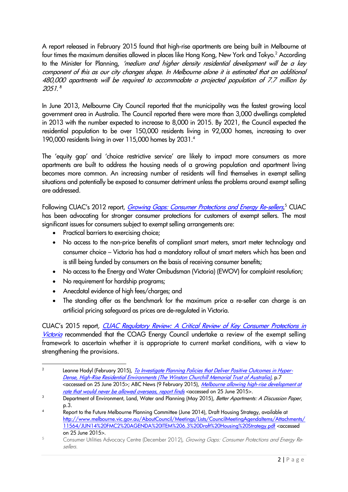A report released in February 2015 found that high-rise apartments are being built in Melbourne at four times the maximum densities allowed in places like Hong Kong, New York and Tokyo.<sup>2</sup> According to the Minister for Planning, 'medium and higher density residential development will be a key component of this as our city changes shape. In Melbourne alone it is estimated that an additional 480,000 apartments will be required to accommodate a projected population of 7.7 million by 2051.' 3

In June 2013, Melbourne City Council reported that the municipality was the fastest growing local government area in Australia. The Council reported there were more than 3,000 dwellings completed in 2013 with the number expected to increase to 8,000 in 2015. By 2021, the Council expected the residential population to be over 150,000 residents living in 92,000 homes, increasing to over 190,000 residents living in over 115,000 homes by 2031. 4

The 'equity gap' and 'choice restrictive service' are likely to impact more consumers as more apartments are built to address the housing needs of a growing population and apartment living becomes more common. An increasing number of residents will find themselves in exempt selling situations and potentially be exposed to consumer detriment unless the problems around exempt selling are addressed.

Following CUAC's 2012 report, *[Growing Gaps: Consumer Protections and Energy Re-sellers](http://www.cuac.org.au/research/cuac-research/275-growing-gaps-consumer-protections-and-energy-re-sellers/file)*,<sup>5</sup> CUAC has been advocating for stronger consumer protections for customers of exempt sellers. The most significant issues for consumers subject to exempt selling arrangements are:

- Practical barriers to exercising choice;
- No access to the non-price benefits of compliant smart meters, smart meter technology and consumer choice – Victoria has had a mandatory rollout of smart meters which has been and is still being funded by consumers on the basis of receiving consumer benefits;
- No access to the Energy and Water Ombudsman (Victoria) (EWOV) for complaint resolution;
- No requirement for hardship programs;
- Anecdotal evidence of high fees/charges; and
- The standing offer as the benchmark for the maximum price a re-seller can charge is an artificial pricing safeguard as prices are de-regulated in Victoria.

CUAC's 2015 report, [CUAC Regulatory Review: A Critical Review of Key Consumer Protections in](http://www.cuac.org.au/research/cuac-research/398-cuac-regulatory-review-a-critical-review-of-key-consumer-protections-volume-1-final/file)  [Victoria](http://www.cuac.org.au/research/cuac-research/398-cuac-regulatory-review-a-critical-review-of-key-consumer-protections-volume-1-final/file) recommended that the COAG Energy Council undertake a review of the exempt selling framework to ascertain whether it is appropriate to current market conditions, with a view to strengthening the provisions.

 $\frac{1}{2}$ Leanne Hodyl (February 2015), [To Investigate Planning Policies that Deliver Positive Outcomes in Hyper-](https://www.churchilltrust.com.au/media/fellows/Hodyl_L_2014_Social_outcomes_in_hyper-dense_high-rise_residential_environments_1.pdf)[Dense, High-Rise Residential Environments \(The Winston Churchill Memorial Trust of Australia\)](https://www.churchilltrust.com.au/media/fellows/Hodyl_L_2014_Social_outcomes_in_hyper-dense_high-rise_residential_environments_1.pdf), p.7 <accessed on 25 June 2015>; ABC News (9 February 2015), Melbourne allowing high-rise development at [rate that would never be allowed overseas, report finds](http://www.abc.net.au/news/2015-02-09/melbourne-develops-the-city-centre-with-dire-consequences/6080146) <accessed on 25 June 2015>.

<sup>&</sup>lt;sup>3</sup> Department of Environment, Land, Water and Planning (May 2015), Better Apartments: A Discussion Paper, p.3.

<sup>&</sup>lt;sup>4</sup> Report to the Future Melbourne Planning Committee (June 2014), Draft Housing Strategy, available at [http://www.melbourne.vic.gov.au/AboutCouncil/Meetings/Lists/CouncilMeetingAgendaItems/Attachments/](http://www.melbourne.vic.gov.au/AboutCouncil/Meetings/Lists/CouncilMeetingAgendaItems/Attachments/11564/JUN14%20FMC2%20AGENDA%20ITEM%206.3%20Draft%20Housing%20Strategy.pdf) [11564/JUN14%20FMC2%20AGENDA%20ITEM%206.3%20Draft%20Housing%20Strategy.pdf](http://www.melbourne.vic.gov.au/AboutCouncil/Meetings/Lists/CouncilMeetingAgendaItems/Attachments/11564/JUN14%20FMC2%20AGENDA%20ITEM%206.3%20Draft%20Housing%20Strategy.pdf) <accessed on 25 June 2015>.

<sup>5</sup> Consumer Utilities Advocacy Centre (December 2012), Growing Gaps: Consumer Protections and Energy Resellers.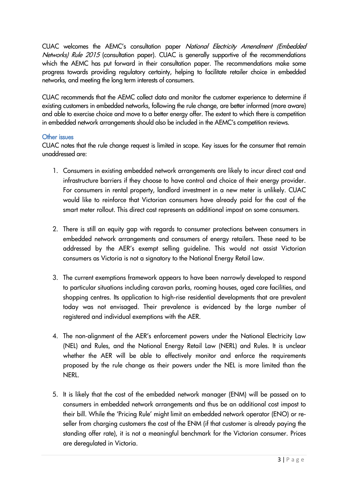CUAC welcomes the AEMC's consultation paper National Electricity Amendment (Embedded Networks) Rule 2015 (consultation paper). CUAC is generally supportive of the recommendations which the AEMC has put forward in their consultation paper. The recommendations make some progress towards providing regulatory certainty, helping to facilitate retailer choice in embedded networks, and meeting the long term interests of consumers.

CUAC recommends that the AEMC collect data and monitor the customer experience to determine if existing customers in embedded networks, following the rule change, are better informed (more aware) and able to exercise choice and move to a better energy offer. The extent to which there is competition in embedded network arrangements should also be included in the AEMC's competition reviews.

## Other issues

CUAC notes that the rule change request is limited in scope. Key issues for the consumer that remain unaddressed are:

- 1. Consumers in existing embedded network arrangements are likely to incur direct cost and infrastructure barriers if they choose to have control and choice of their energy provider. For consumers in rental property, landlord investment in a new meter is unlikely. CUAC would like to reinforce that Victorian consumers have already paid for the cost of the smart meter rollout. This direct cost represents an additional impost on some consumers.
- 2. There is still an equity gap with regards to consumer protections between consumers in embedded network arrangements and consumers of energy retailers. These need to be addressed by the AER's exempt selling guideline. This would not assist Victorian consumers as Victoria is not a signatory to the National Energy Retail Law.
- 3. The current exemptions framework appears to have been narrowly developed to respond to particular situations including caravan parks, rooming houses, aged care facilities, and shopping centres. Its application to high-rise residential developments that are prevalent today was not envisaged. Their prevalence is evidenced by the large number of registered and individual exemptions with the AER.
- 4. The non-alignment of the AER's enforcement powers under the National Electricity Law (NEL) and Rules, and the National Energy Retail Law (NERL) and Rules. It is unclear whether the AER will be able to effectively monitor and enforce the requirements proposed by the rule change as their powers under the NEL is more limited than the **NERL.**
- 5. It is likely that the cost of the embedded network manager (ENM) will be passed on to consumers in embedded network arrangements and thus be an additional cost impost to their bill. While the 'Pricing Rule' might limit an embedded network operator (ENO) or reseller from charging customers the cost of the ENM (if that customer is already paying the standing offer rate), it is not a meaningful benchmark for the Victorian consumer. Prices are deregulated in Victoria.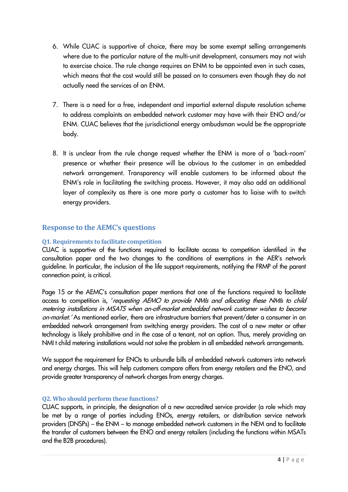- 6. While CUAC is supportive of choice, there may be some exempt selling arrangements where due to the particular nature of the multi-unit development, consumers may not wish to exercise choice. The rule change requires an ENM to be appointed even in such cases, which means that the cost would still be passed on to consumers even though they do not actually need the services of an ENM.
- 7. There is a need for a free, independent and impartial external dispute resolution scheme to address complaints an embedded network customer may have with their ENO and/or ENM. CUAC believes that the jurisdictional energy ombudsman would be the appropriate body.
- 8. It is unclear from the rule change request whether the ENM is more of a 'back-room' presence or whether their presence will be obvious to the customer in an embedded network arrangement. Transparency will enable customers to be informed about the ENM's role in facilitating the switching process. However, it may also add an additional layer of complexity as there is one more party a customer has to liaise with to switch energy providers.

# **Response to the AEMC's questions**

# **Q1. Requirements to facilitate competition**

CUAC is supportive of the functions required to facilitate access to competition identified in the consultation paper and the two changes to the conditions of exemptions in the AER's network guideline. In particular, the inclusion of the life support requirements, notifying the FRMP of the parent connection point, is critical.

Page 15 or the AEMC's consultation paper mentions that one of the functions required to facilitate access to competition is, 'requesting AEMO to provide NMIs and allocating these NMIs to child metering installations in MSATS when an-off-market embedded network customer wishes to become on-market.' As mentioned earlier, there are infrastructure barriers that prevent/deter a consumer in an embedded network arrangement from switching energy providers. The cost of a new meter or other technology is likely prohibitive and in the case of a tenant, not an option. Thus, merely providing an NMI t child metering installations would not solve the problem in all embedded network arrangements.

We support the requirement for ENOs to unbundle bills of embedded network customers into network and energy charges. This will help customers compare offers from energy retailers and the ENO, and provide greater transparency of network charges from energy charges.

# **Q2. Who should perform these functions?**

CUAC supports, in principle, the designation of a new accredited service provider (a role which may be met by a range of parties including ENOs, energy retailers, or distribution service network providers (DNSPs) – the ENM – to manage embedded network customers in the NEM and to facilitate the transfer of customers between the ENO and energy retailers (including the functions within MSATs and the B2B procedures).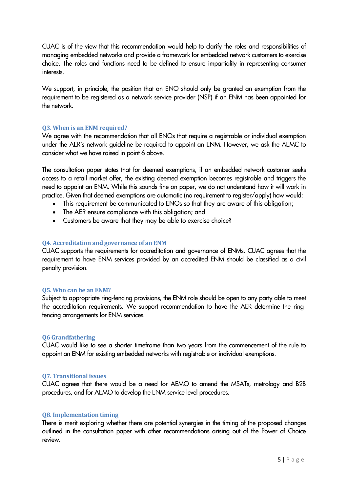CUAC is of the view that this recommendation would help to clarify the roles and responsibilities of managing embedded networks and provide a framework for embedded network customers to exercise choice. The roles and functions need to be defined to ensure impartiality in representing consumer interests.

We support, in principle, the position that an ENO should only be granted an exemption from the requirement to be registered as a network service provider (NSP) if an ENM has been appointed for the network.

## **Q3. When is an ENM required?**

We agree with the recommendation that all ENOs that require a registrable or individual exemption under the AER's network guideline be required to appoint an ENM. However, we ask the AEMC to consider what we have raised in point 6 above.

The consultation paper states that for deemed exemptions, if an embedded network customer seeks access to a retail market offer, the existing deemed exemption becomes registrable and triggers the need to appoint an ENM. While this sounds fine on paper, we do not understand how it will work in practice. Given that deemed exemptions are automatic (no requirement to register/apply) how would:

- This requirement be communicated to ENOs so that they are aware of this obligation;
- The AER ensure compliance with this obligation; and
- Customers be aware that they may be able to exercise choice?

## **Q4. Accreditation and governance of an ENM**

CUAC supports the requirements for accreditation and governance of ENMs. CUAC agrees that the requirement to have ENM services provided by an accredited ENM should be classified as a civil penalty provision.

#### **Q5. Who can be an ENM?**

Subject to appropriate ring-fencing provisions, the ENM role should be open to any party able to meet the accreditation requirements. We support recommendation to have the AER determine the ringfencing arrangements for ENM services.

#### **Q6 Grandfathering**

CUAC would like to see a shorter timeframe than two years from the commencement of the rule to appoint an ENM for existing embedded networks with registrable or individual exemptions.

#### **Q7. Transitional issues**

CUAC agrees that there would be a need for AEMO to amend the MSATs, metrology and B2B procedures, and for AEMO to develop the ENM service level procedures.

#### **Q8. Implementation timing**

There is merit exploring whether there are potential synergies in the timing of the proposed changes outlined in the consultation paper with other recommendations arising out of the Power of Choice review.